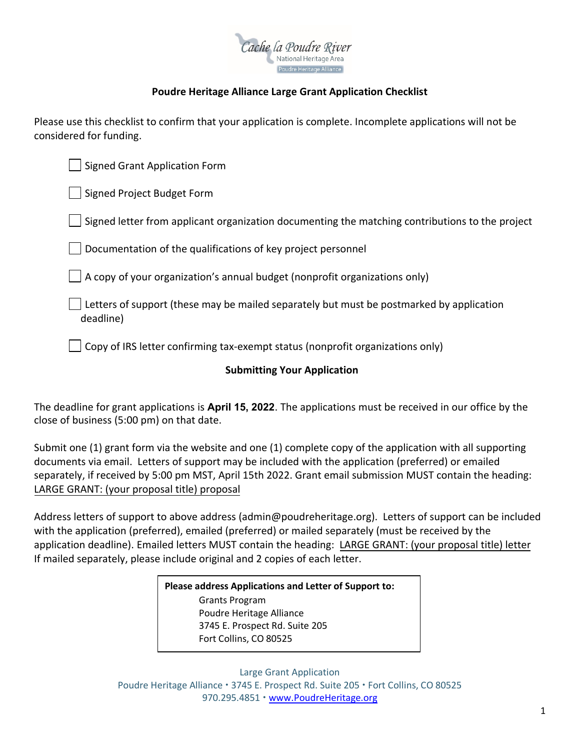

# **Poudre Heritage Alliance Large Grant Application Checklist**

Please use this checklist to confirm that your application is complete. Incomplete applications will not be considered for funding.

Signed Grant Application Form Signed Project Budget Form Signed letter from applicant organization documenting the matching contributions to the project Documentation of the qualifications of key project personnel  $\Box$  A copy of your organization's annual budget (nonprofit organizations only) Letters of support (these may be mailed separately but must be postmarked by application deadline) Copy of IRS letter confirming tax-exempt status (nonprofit organizations only)

# **Submitting Your Application**

The deadline for grant applications is **April 15, 2022**. The applications must be received in our office by the close of business (5:00 pm) on that date.

Submit one (1) grant form via the website and one (1) complete copy of the application with all supporting documents via email. Letters of support may be included with the application (preferred) or emailed separately, if received by 5:00 pm MST, April 15th 2022. Grant email submission MUST contain the heading: LARGE GRANT: (your proposal title) proposal

Address letters of support to above address (admin@poudreheritage.org). Letters of support can be included with the application (preferred), emailed (preferred) or mailed separately (must be received by the application deadline). Emailed letters MUST contain the heading: LARGE GRANT: (your proposal title) letter If mailed separately, please include original and 2 copies of each letter.

> **Please address Applications and Letter of Support to:**  Grants Program Poudre Heritage Alliance 3745 E. Prospect Rd. Suite 205 Fort Collins, CO 80525

Large Grant Application Poudre Heritage Alliance · 3745 E. Prospect Rd. Suite 205 · Fort Collins, CO 80525 970.295.4851 · [www.PoudreHeritage.org](http://www.poudreheritage.org/)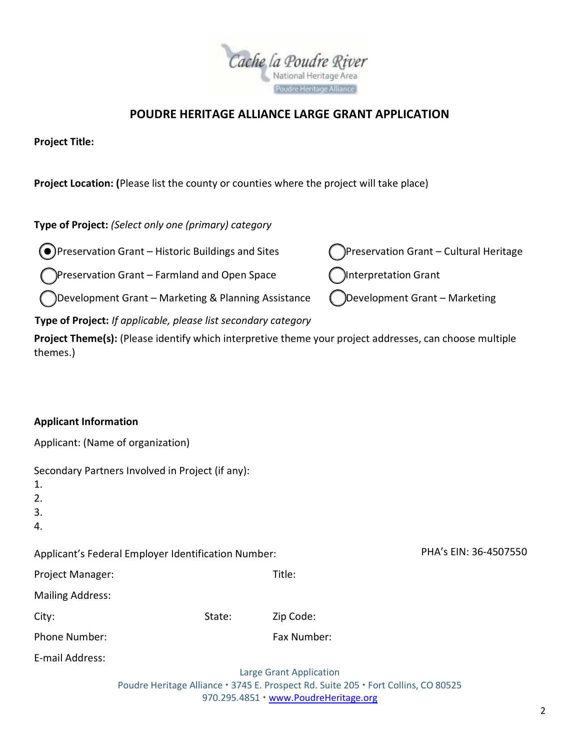

# **POUDRE HERITAGE ALLIANCE LARGE GRANT APPLICATION**

**Project Title:** 

**Project Location: (**Please list the county or counties where the project will take place)

**Type of Project:** *(Select only one (primary) category*

)Preservation Grant – Historic Buildings and Sites  $\bigcap$ Preservation Grant – Cultural Heritage  $\bullet$ 

)Preservation Grant – Farmland and Open Space  $\bigcap$ Interpretation Grant

)Development Grant – Marketing & Planning Assistance  $\bigcirc$ Development Grant – Marketing

**Type of Project:** *If applicable, please list secondary category*

**Project Theme(s):** (Please identify which interpretive theme your project addresses, can choose multiple themes.)

#### **Applicant Information**

Applicant: (Name of organization)

| 1.<br>2.<br>3.                                      | Secondary Partners Involved in Project (if any):                                   |                                       |                       |  |  |
|-----------------------------------------------------|------------------------------------------------------------------------------------|---------------------------------------|-----------------------|--|--|
| 4.                                                  |                                                                                    |                                       |                       |  |  |
| Applicant's Federal Employer Identification Number: |                                                                                    |                                       | PHA's EIN: 36-4507550 |  |  |
| Project Manager:                                    |                                                                                    | Title:                                |                       |  |  |
| <b>Mailing Address:</b>                             |                                                                                    |                                       |                       |  |  |
| City:                                               | State:                                                                             | Zip Code:                             |                       |  |  |
| Phone Number:                                       |                                                                                    | Fax Number:                           |                       |  |  |
| E-mail Address:                                     |                                                                                    |                                       |                       |  |  |
|                                                     |                                                                                    | Large Grant Application               |                       |  |  |
|                                                     | Poudre Heritage Alliance · 3745 E. Prospect Rd. Suite 205 · Fort Collins, CO 80525 |                                       |                       |  |  |
|                                                     |                                                                                    | 970.295.4851 • www.PoudreHeritage.org |                       |  |  |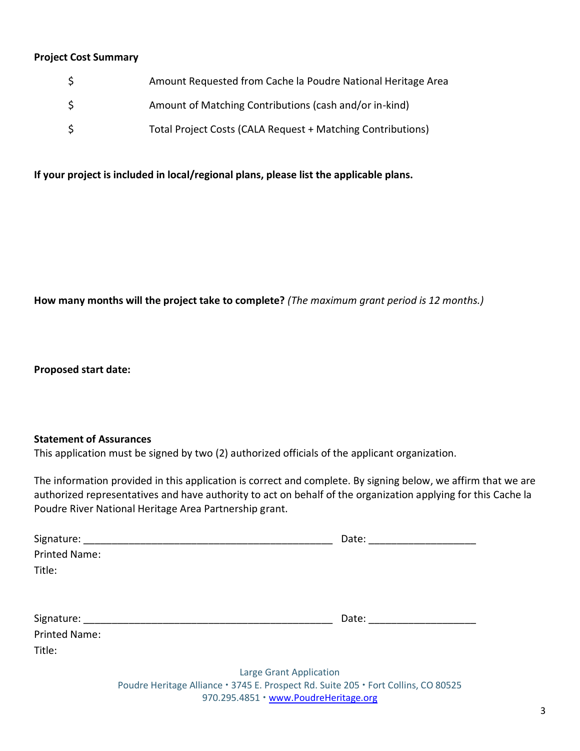#### **Project Cost Summary**

| \$. | Amount Requested from Cache la Poudre National Heritage Area |
|-----|--------------------------------------------------------------|
| \$. | Amount of Matching Contributions (cash and/or in-kind)       |
| Ś.  | Total Project Costs (CALA Request + Matching Contributions)  |

**If your project is included in local/regional plans, please list the applicable plans.**

**How many months will the project take to complete?** *(The maximum grant period is 12 months.)*

**Proposed start date:**

#### **Statement of Assurances**

This application must be signed by two (2) authorized officials of the applicant organization.

The information provided in this application is correct and complete. By signing below, we affirm that we are authorized representatives and have authority to act on behalf of the organization applying for this Cache la Poudre River National Heritage Area Partnership grant.

|                      | Date:                                                                            |
|----------------------|----------------------------------------------------------------------------------|
| <b>Printed Name:</b> |                                                                                  |
| Title:               |                                                                                  |
|                      |                                                                                  |
|                      | Date: ______________                                                             |
| <b>Printed Name:</b> |                                                                                  |
| Title:               |                                                                                  |
|                      | <b>Large Grant Application</b>                                                   |
|                      | Doudre Heritage Alliance: 2745 E. Drospect Rd. Suite 205 . Fort Collins CO 80525 |

Poudre Heritage Alliance 3745 E. Prospect Rd. Suite 205 Fort Collins, CO 80525 970.295.4851 · [www.PoudreHeritage.org](http://www.poudreheritage.org/)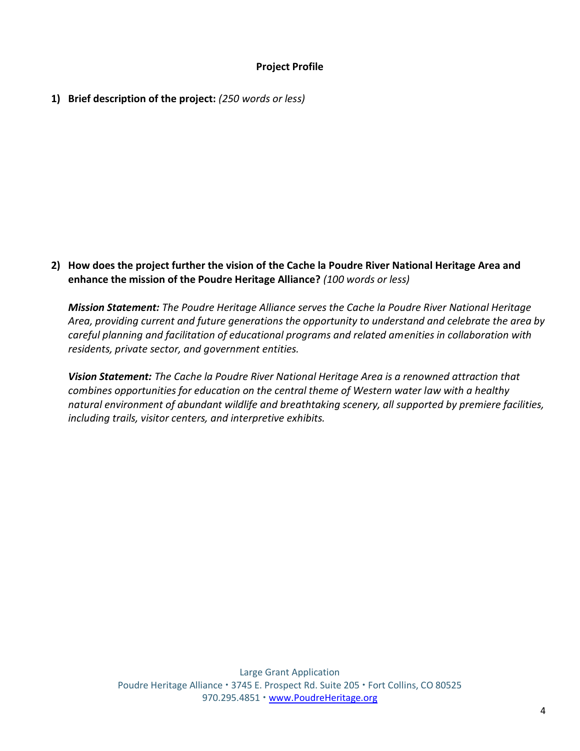### **Project Profile**

**1) Brief description of the project:** *(250 words or less)*

**2) How does the project further the vision of the Cache la Poudre River National Heritage Area and enhance the mission of the Poudre Heritage Alliance?** *(100 words or less)*

*Mission Statement: The Poudre Heritage Alliance serves the Cache la Poudre River National Heritage Area, providing current and future generations the opportunity to understand and celebrate the area by careful planning and facilitation of educational programs and related amenities in collaboration with residents, private sector, and government entities.*

*Vision Statement: The Cache la Poudre River National Heritage Area is a renowned attraction that combines opportunities for education on the central theme of Western water law with a healthy natural environment of abundant wildlife and breathtaking scenery, all supported by premiere facilities, including trails, visitor centers, and interpretive exhibits.*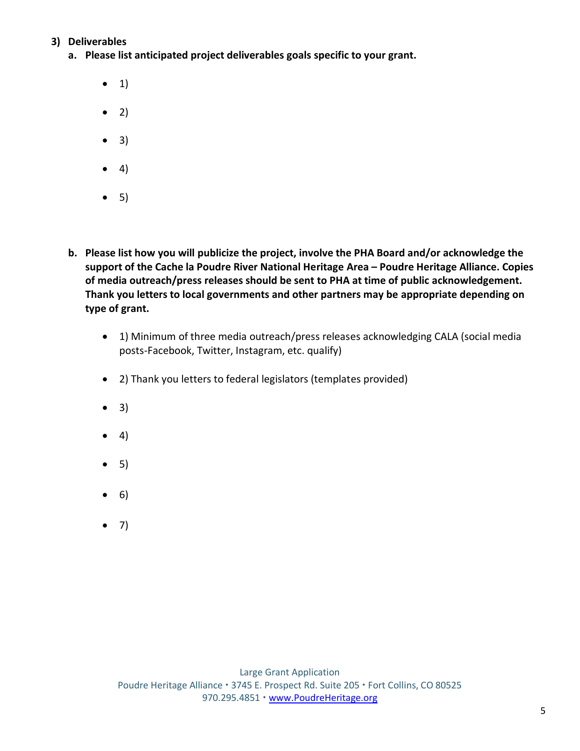### **3) Deliverables**

- **a. Please list anticipated project deliverables goals specific to your grant.**
	- $\bullet$  1)
	- $\bullet$  2)
	- $\bullet$  3)
	- $\bullet$  4)
	- $\bullet$  5)
- **b. Please list how you will publicize the project, involve the PHA Board and/or acknowledge the support of the Cache la Poudre River National Heritage Area – Poudre Heritage Alliance. Copies of media outreach/press releases should be sent to PHA at time of public acknowledgement. Thank you letters to local governments and other partners may be appropriate depending on type of grant.**
	- 1) Minimum of three media outreach/press releases acknowledging CALA (social media posts-Facebook, Twitter, Instagram, etc. qualify)
	- 2) Thank you letters to federal legislators (templates provided)
	- $\bullet$  3)
	- $\bullet$  4)
	- $\bullet$  5)
	- $\bullet$  6)
	- $-7)$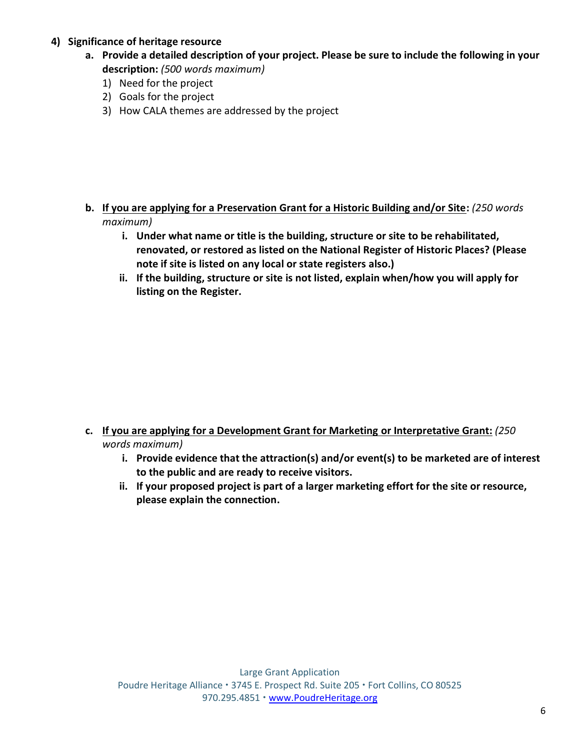### **4) Significance of heritage resource**

- **a. Provide a detailed description of your project. Please be sure to include the following in your description:** *(500 words maximum)*
	- 1) Need for the project
	- 2) Goals for the project
	- 3) How CALA themes are addressed by the project

- **b. If you are applying for a Preservation Grant for a Historic Building and/or Site:** *(250 words maximum)*
	- **i. Under what name or title is the building, structure or site to be rehabilitated, renovated, or restored as listed on the National Register of Historic Places? (Please note if site is listed on any local or state registers also.)**
	- **ii. If the building, structure or site is not listed, explain when/how you will apply for listing on the Register.**

- **c. If you are applying for a Development Grant for Marketing or Interpretative Grant:** *(250 words maximum)*
	- **i. Provide evidence that the attraction(s) and/or event(s) to be marketed are of interest to the public and are ready to receive visitors.**
	- **ii. If your proposed project is part of a larger marketing effort for the site or resource, please explain the connection.**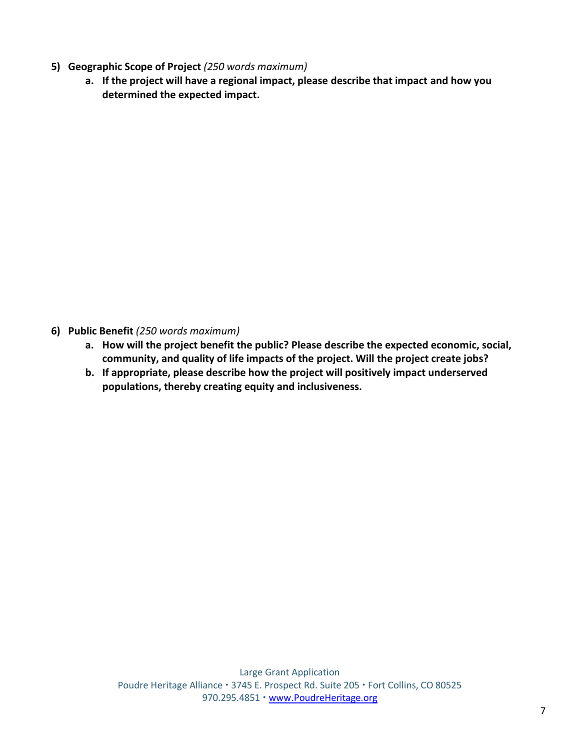- **5) Geographic Scope of Project** *(250 words maximum)*
	- **a. If the project will have a regional impact, please describe that impact and how you determined the expected impact.**

- **6) Public Benefit** *(250 words maximum)*
	- **a. How will the project benefit the public? Please describe the expected economic, social, community, and quality of life impacts of the project. Will the project create jobs?**
	- **b. If appropriate, please describe how the project will positively impact underserved populations, thereby creating equity and inclusiveness.**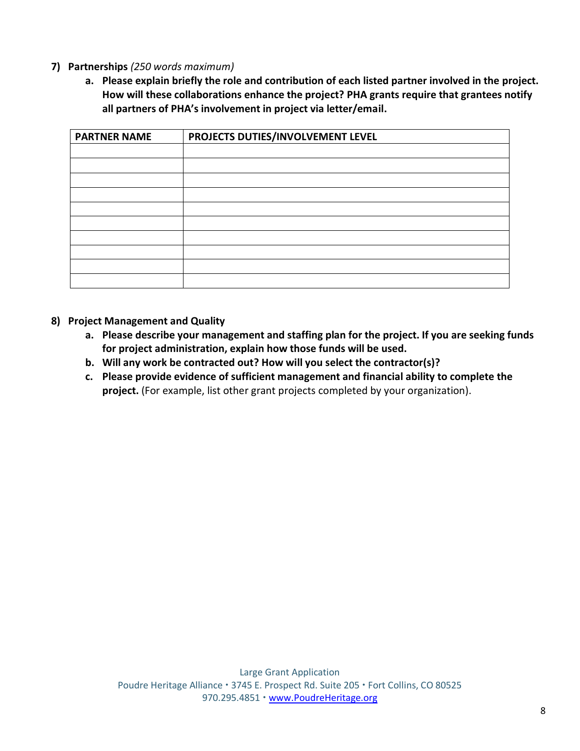### **7) Partnerships** *(250 words maximum)*

**a. Please explain briefly the role and contribution of each listed partner involved in the project. How will these collaborations enhance the project? PHA grants require that grantees notify all partners of PHA's involvement in project via letter/email.**

| <b>PARTNER NAME</b> | PROJECTS DUTIES/INVOLVEMENT LEVEL |
|---------------------|-----------------------------------|
|                     |                                   |
|                     |                                   |
|                     |                                   |
|                     |                                   |
|                     |                                   |
|                     |                                   |
|                     |                                   |
|                     |                                   |
|                     |                                   |
|                     |                                   |
|                     |                                   |
|                     |                                   |

- **8) Project Management and Quality**
	- **a. Please describe your management and staffing plan for the project. If you are seeking funds for project administration, explain how those funds will be used.**
	- **b. Will any work be contracted out? How will you select the contractor(s)?**
	- **c. Please provide evidence of sufficient management and financial ability to complete the project.** (For example, list other grant projects completed by your organization).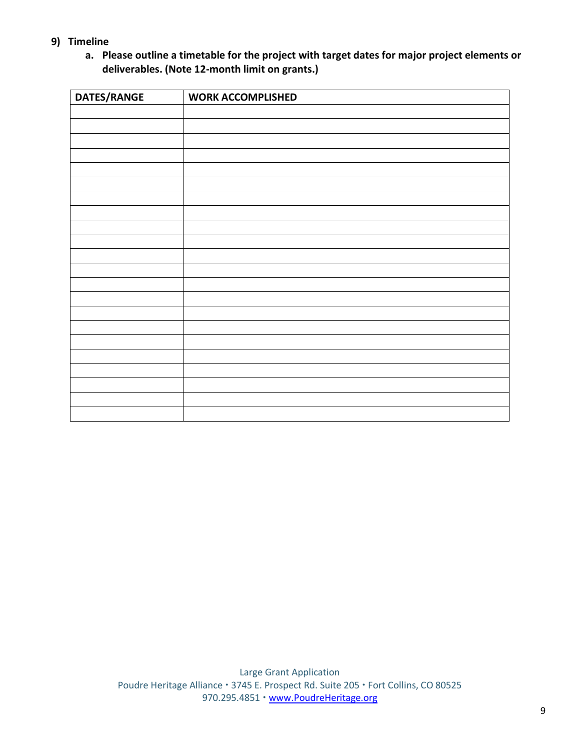- **9) Timeline**
	- **a. Please outline a timetable for the project with target dates for major project elements or deliverables. (Note 12-month limit on grants.)**

| DATES/RANGE | <b>WORK ACCOMPLISHED</b> |  |  |
|-------------|--------------------------|--|--|
|             |                          |  |  |
|             |                          |  |  |
|             |                          |  |  |
|             |                          |  |  |
|             |                          |  |  |
|             |                          |  |  |
|             |                          |  |  |
|             |                          |  |  |
|             |                          |  |  |
|             |                          |  |  |
|             |                          |  |  |
|             |                          |  |  |
|             |                          |  |  |
|             |                          |  |  |
|             |                          |  |  |
|             |                          |  |  |
|             |                          |  |  |
|             |                          |  |  |
|             |                          |  |  |
|             |                          |  |  |
|             |                          |  |  |
|             |                          |  |  |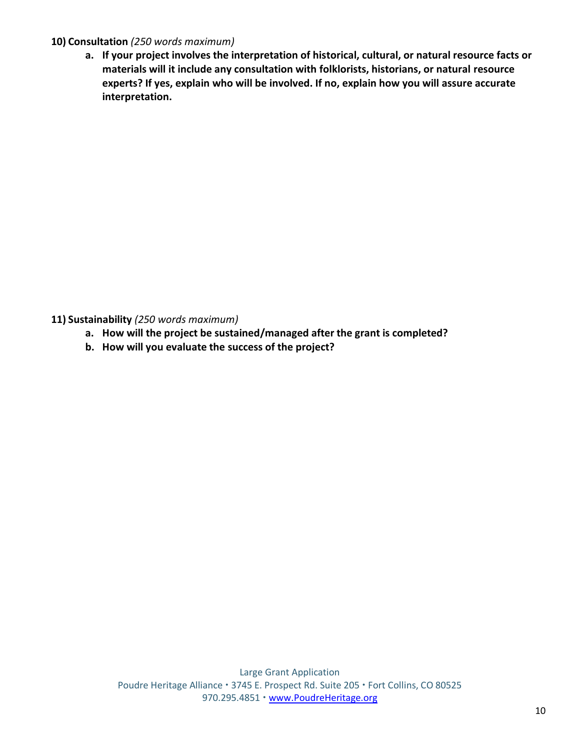### **10) Consultation** *(250 words maximum)*

**a. If your project involves the interpretation of historical, cultural, or natural resource facts or materials will it include any consultation with folklorists, historians, or natural resource experts? If yes, explain who will be involved. If no, explain how you will assure accurate interpretation.**

**11) Sustainability** *(250 words maximum)*

- **a. How will the project be sustained/managed after the grant is completed?**
- **b. How will you evaluate the success of the project?**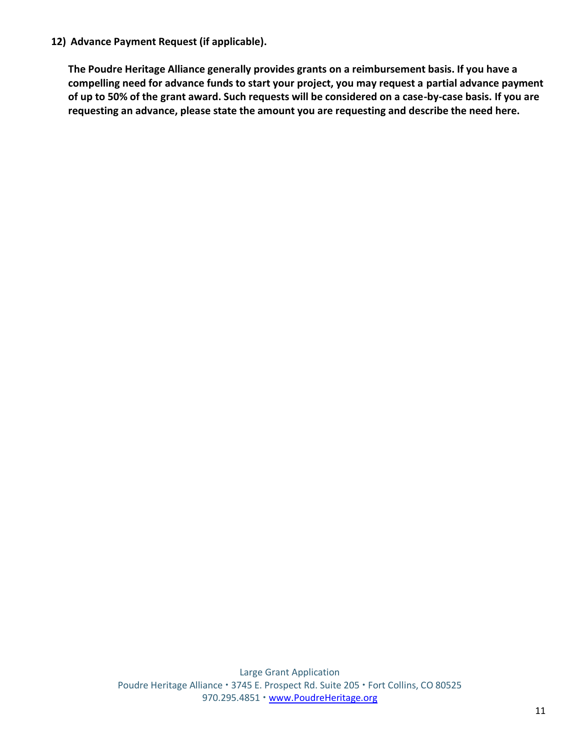**12) Advance Payment Request (if applicable).**

**The Poudre Heritage Alliance generally provides grants on a reimbursement basis. If you have a compelling need for advance funds to start your project, you may request a partial advance payment of up to 50% of the grant award. Such requests will be considered on a case-by-case basis. If you are requesting an advance, please state the amount you are requesting and describe the need here.**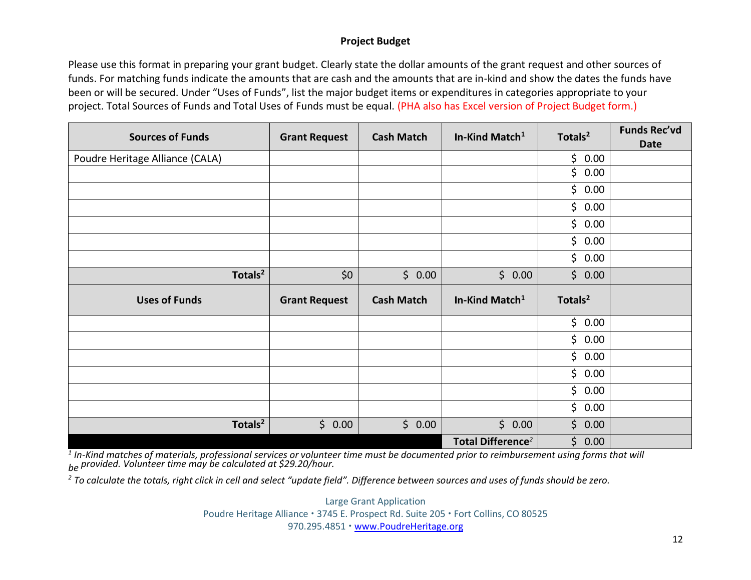#### **Project Budget**

Please use this format in preparing your grant budget. Clearly state the dollar amounts of the grant request and other sources of funds. For matching funds indicate the amounts that are cash and the amounts that are in-kind and show the dates the funds have been or will be secured. Under "Uses of Funds", list the major budget items or expenditures in categories appropriate to your project. Total Sources of Funds and Total Uses of Funds must be equal. (PHA also has Excel version of Project Budget form.)

| <b>Sources of Funds</b>         | <b>Grant Request</b> | <b>Cash Match</b> | In-Kind Match <sup>1</sup>    | Totals <sup>2</sup> | <b>Funds Rec'vd</b><br><b>Date</b> |
|---------------------------------|----------------------|-------------------|-------------------------------|---------------------|------------------------------------|
| Poudre Heritage Alliance (CALA) |                      |                   |                               | \$0.00              |                                    |
|                                 |                      |                   |                               | \$<br>0.00          |                                    |
|                                 |                      |                   |                               | \$0.00              |                                    |
|                                 |                      |                   |                               | \$0.00              |                                    |
|                                 |                      |                   |                               | \$0.00              |                                    |
|                                 |                      |                   |                               | \$0.00              |                                    |
|                                 |                      |                   |                               | \$0.00              |                                    |
| Totals <sup>2</sup>             | \$0                  | \$0.00            | \$0.00                        | \$0.00              |                                    |
| <b>Uses of Funds</b>            | <b>Grant Request</b> | <b>Cash Match</b> | In-Kind Match <sup>1</sup>    | Totals <sup>2</sup> |                                    |
|                                 |                      |                   |                               | \$0.00              |                                    |
|                                 |                      |                   |                               | \$0.00              |                                    |
|                                 |                      |                   |                               | \$0.00              |                                    |
|                                 |                      |                   |                               | \$0.00              |                                    |
|                                 |                      |                   |                               | \$0.00              |                                    |
|                                 |                      |                   |                               | \$0.00              |                                    |
| Totals <sup>2</sup>             | \$0.00               | \$0.00            | \$0.00                        | \$0.00              |                                    |
|                                 |                      |                   | Total Difference <sup>2</sup> | \$0.00              |                                    |

*1 In-Kind matches of materials, professional services or volunteer time must be documented prior to reimbursement using forms that will be provided. Volunteer time may be calculated at \$29.20/hour.*

*2 To calculate the totals, right click in cell and select "update field". Difference between sources and uses of funds should be zero.*

Large Grant Application Poudre Heritage Alliance · 3745 E. Prospect Rd. Suite 205 · Fort Collins, CO 80525 970.295.4851 · [www.PoudreHeritage.org](http://www.poudreheritage.org/)